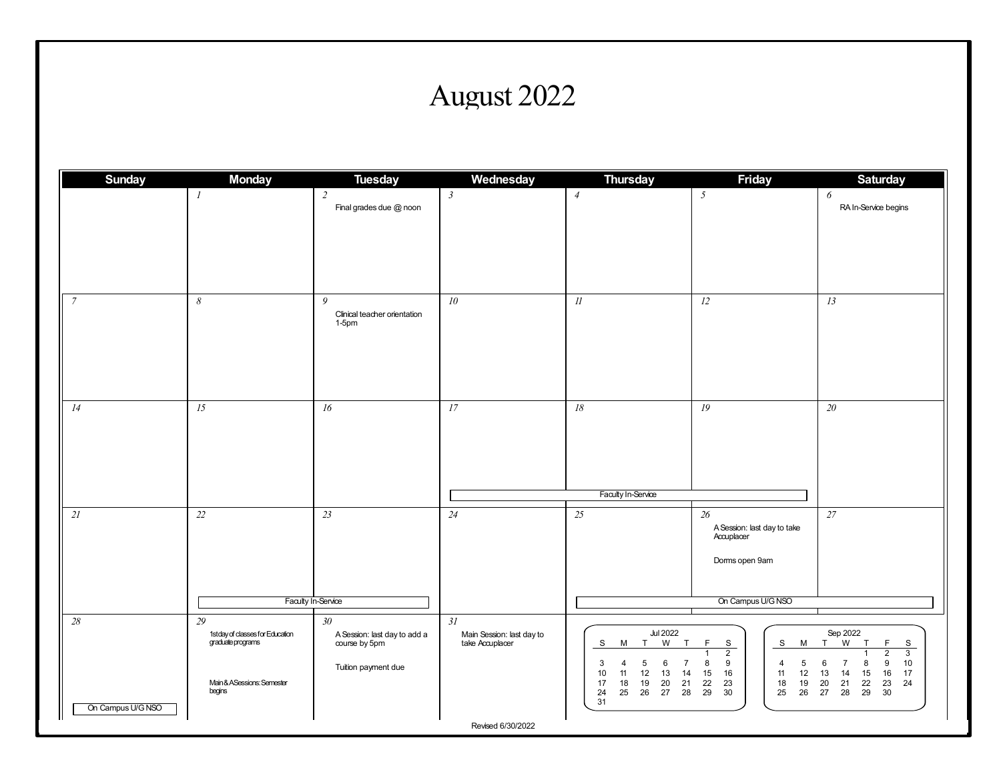## August 2022

| <b>Sunday</b>     | <b>Monday</b>                                        | <b>Tuesday</b>                                | Wednesday                                    | <b>Thursday</b>                                                                                                       | <b>Friday</b>                                                                                         | <b>Saturday</b>                                                                                                         |
|-------------------|------------------------------------------------------|-----------------------------------------------|----------------------------------------------|-----------------------------------------------------------------------------------------------------------------------|-------------------------------------------------------------------------------------------------------|-------------------------------------------------------------------------------------------------------------------------|
|                   | $\mathcal{I}$                                        | $\overline{2}$<br>Final grades due @ noon     | $\mathfrak{Z}$                               | $\overline{4}$                                                                                                        | $5\overline{)}$                                                                                       | 6<br>RA In-Service begins                                                                                               |
|                   |                                                      |                                               |                                              |                                                                                                                       |                                                                                                       |                                                                                                                         |
| $\overline{7}$    | $\boldsymbol{\mathcal{S}}$                           | 9<br>Clinical teacher orientation<br>$1-5$ pm | ${\it 10}$                                   | $I\!I$                                                                                                                | 12                                                                                                    | 13                                                                                                                      |
| 14                | 15                                                   | 16                                            | 17                                           | $18\,$<br>Faculty In-Service                                                                                          | 19                                                                                                    | 20                                                                                                                      |
| 2l                | $22\,$                                               | 23<br>Faculty In-Service                      | 24                                           | $\overline{25}$                                                                                                       | 26<br>A Session: last day to take<br>Accuplacer<br>Dorms open 9am<br>On Campus U/G NSO                | $27\,$                                                                                                                  |
| 28                | 29                                                   | 30 <sub>1</sub>                               | 31                                           |                                                                                                                       |                                                                                                       |                                                                                                                         |
|                   | 1stday of classes for Education<br>graduate programs | A Session: last day to add a<br>course by 5pm | Main Session: last day to<br>take Accuplacer | <b>Jul 2022</b><br>W<br>T<br>S<br>M T                                                                                 | F<br>S<br>S<br>M T<br>$\overline{2}$<br>$\mathbf{1}$                                                  | Sep 2022<br>W<br>T<br>F<br>S<br>$\overline{2}$<br>$\overline{3}$                                                        |
| On Campus U/G NSO | Main & ASessions: Semester<br>begins                 | Tuition payment due                           |                                              | 6<br>3<br>5<br>7<br>4<br>11<br>13<br>10<br>12<br>14<br>17<br>20<br>21<br>18<br>19<br>24<br>27<br>28<br>25<br>26<br>31 | 8<br>9<br>$\overline{5}$<br>4<br>15<br>16<br>12<br>11<br>19<br>22<br>23<br>18<br>29<br>25<br>26<br>30 | 9<br>10<br>6<br>$\overline{7}$<br>8<br>13<br>14<br>15<br>16<br>17<br>22<br>21<br>23<br>24<br>20<br>29<br>28<br>27<br>30 |
|                   |                                                      |                                               | Revised 6/30/2022                            |                                                                                                                       |                                                                                                       |                                                                                                                         |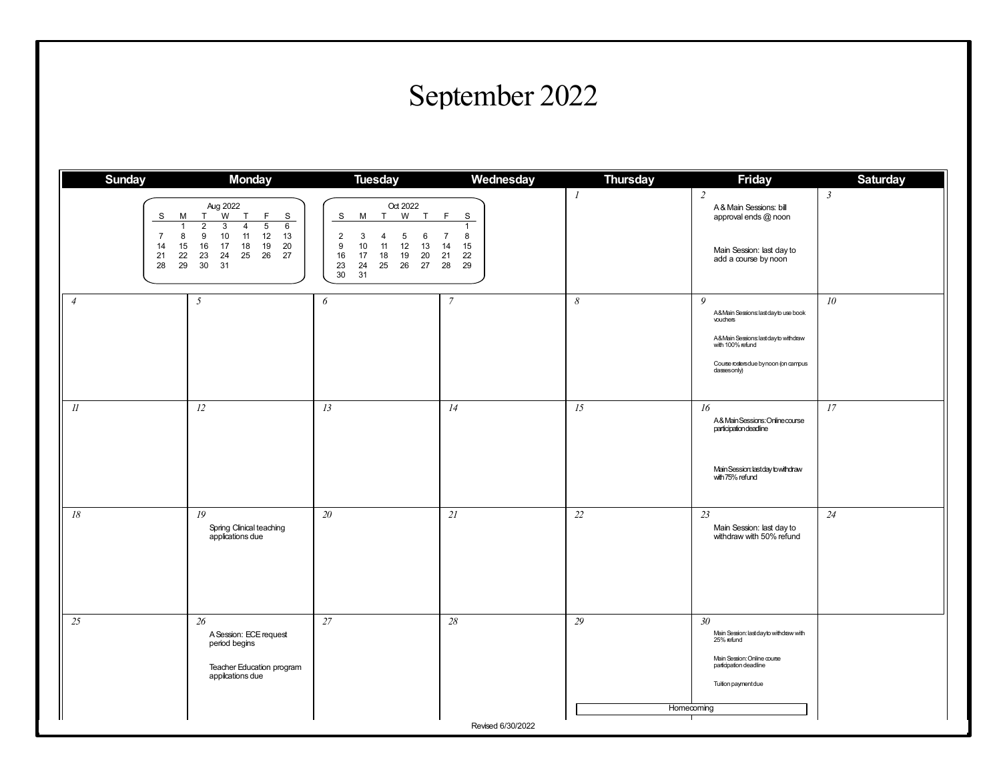## September 2022

| <b>Sunday</b>                                                                       | <b>Monday</b>                                                                                                                                                                                                                             | <b>Tuesday</b>                                                                                                                                                  | Wednesday                                                               | <b>Thursday</b>            | <b>Friday</b>                                                                                                                                                                            | <b>Saturday</b> |
|-------------------------------------------------------------------------------------|-------------------------------------------------------------------------------------------------------------------------------------------------------------------------------------------------------------------------------------------|-----------------------------------------------------------------------------------------------------------------------------------------------------------------|-------------------------------------------------------------------------|----------------------------|------------------------------------------------------------------------------------------------------------------------------------------------------------------------------------------|-----------------|
| S<br>М<br>$\overline{1}$<br>$\overline{7}$<br>8<br>14<br>15<br>22<br>21<br>29<br>28 | Aug 2022<br>W T<br>F<br>$\mathbf S$<br>T.<br>$\overline{2}$<br>$\overline{3}$<br>$5\overline{)}$<br>$\overline{4}$<br>6<br>11<br>9<br>10<br>12<br>13<br>16<br>17<br>18<br>19<br>20<br>25<br>26<br>27<br>23<br>24<br>30 <sup>°</sup><br>31 | Oct 2022<br>W<br>S<br>T<br>M<br>T<br>2<br>3<br>5<br>6<br>4<br>9<br>10<br>11<br>12<br>13<br>20<br>16<br>17<br>18<br>19<br>23<br>27<br>24<br>25<br>26<br>30<br>31 | F.<br>S<br>1<br>8<br>$\overline{7}$<br>15<br>14<br>22<br>21<br>29<br>28 | $\mathcal{I}$              | $\overline{2}$<br>A & Main Sessions: bill<br>approval ends @ noon<br>Main Session: last day to<br>add a course by noon                                                                   | $\mathfrak{Z}$  |
| $\overline{4}$                                                                      | 5                                                                                                                                                                                                                                         | 6                                                                                                                                                               | $\overline{7}$                                                          | $\boldsymbol{\mathcal{S}}$ | $\overline{Q}$<br>A&Main Sessions: last day to use book<br>vouchers<br>A&Main Sessions: last dayto withdraw<br>with 100% refund<br>Course rosters due by noon (on campus<br>dasses only) | 10 <sup>°</sup> |
| $\mathcal{U}$                                                                       | 12                                                                                                                                                                                                                                        | 13                                                                                                                                                              | 14                                                                      | 15                         | 16<br>A& Main Sessions: Online course<br>participation deadline<br>Main Session: last day to withdraw<br>with 75% refund                                                                 | 17              |
| $18\,$                                                                              | 19<br>Spring Clinical teaching<br>applications due                                                                                                                                                                                        | 20                                                                                                                                                              | 21                                                                      | 22                         | $23\,$<br>Main Session: last day to<br>withdraw with 50% refund                                                                                                                          | 24              |
| 25                                                                                  | 26<br>A Session: ECE request<br>period begins<br>Teacher Education program<br>appilcations due                                                                                                                                            | 27                                                                                                                                                              | 28                                                                      | 29<br>Homecoming           | 30 <sub>2</sub><br>Main Session: last day to withdraw with<br>25% refund<br>Main Session: Online course<br>participation deadline<br>Tuition payment due                                 |                 |
| Ш                                                                                   |                                                                                                                                                                                                                                           |                                                                                                                                                                 | Revised 6/30/2022                                                       |                            |                                                                                                                                                                                          |                 |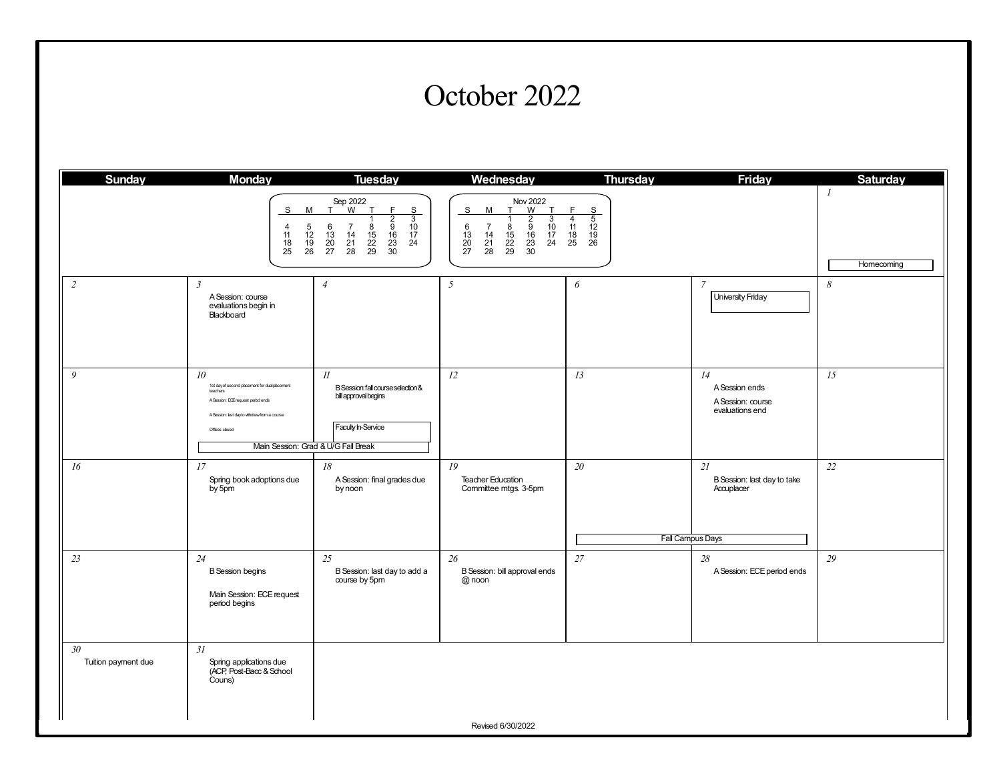#### October 2022

| <b>Sunday</b>                               | <b>Monday</b>                                                                                                                                                                     | <b>Tuesday</b>                                                                                                                                                                                                                                                                                                                  | Wednesday                                                                                                                                                                                                                                                                | <b>Thursday</b>                                                                                   | <b>Friday</b>                                                       | <b>Saturday</b> |
|---------------------------------------------|-----------------------------------------------------------------------------------------------------------------------------------------------------------------------------------|---------------------------------------------------------------------------------------------------------------------------------------------------------------------------------------------------------------------------------------------------------------------------------------------------------------------------------|--------------------------------------------------------------------------------------------------------------------------------------------------------------------------------------------------------------------------------------------------------------------------|---------------------------------------------------------------------------------------------------|---------------------------------------------------------------------|-----------------|
|                                             | S<br>М<br>$\frac{5}{12}$<br>$\frac{19}{26}$<br>4<br>11<br>$\begin{array}{c} 18 \\ 25 \end{array}$                                                                                 | Sep 2022<br>F<br>T<br>T<br>S<br>$\begin{array}{c}\n\phantom{0}3 \\ \phantom{0}10 \\ \phantom{0}17\n\end{array}$<br>$\begin{array}{c}\n\overline{2}\\9\\16\n\end{array}$<br>$\begin{array}{c} 6 \\ 13 \\ 20 \\ 27 \end{array}$<br>$\overline{7}$<br>$\frac{8}{15}$<br>22<br>29<br>14<br>$\frac{21}{28}$<br>$\frac{23}{30}$<br>24 | Nov 2022<br>T W<br>T<br>$\mathbf{s}$<br>М<br>T<br>$\overline{3}$<br>$\begin{array}{c}\n2 \\ 9 \\ 16\n\end{array}$<br>$\overline{7}$<br>$\frac{10}{17}$<br>$6$<br>$13$<br>$20$<br>$27$<br>$rac{8}{15}$<br>$rac{22}{29}$<br>14<br>$\frac{21}{28}$<br>$\frac{23}{30}$<br>24 | F<br>S<br>$\frac{6}{5}$<br>$\frac{12}{19}$<br>$\frac{19}{26}$<br>$\overline{4}$<br>11<br>18<br>25 |                                                                     | Homecoming      |
| $\overline{c}$                              | $\mathfrak{Z}$<br>A Session: course<br>evaluations begin in<br>Blackboard                                                                                                         | $\overline{4}$                                                                                                                                                                                                                                                                                                                  | 5                                                                                                                                                                                                                                                                        | 6                                                                                                 | $\overline{7}$<br>University Friday                                 | 8               |
| 9                                           | 10 <sup>°</sup><br>1st dayof second placement for dualplacement<br>teachers<br>A Session: ECE request period ends<br>A Session: last dayto withdrawfrom a course<br>Offces closed | $_{II}$<br>B Session: fall course selection &<br>bill approval begins<br>Faculty In-Service<br>Main Session: Grad & U/G Fall Break                                                                                                                                                                                              | 12                                                                                                                                                                                                                                                                       | 13                                                                                                | 14<br>A Session ends<br>A Session: course<br>evaluations end        | 15              |
| 16                                          | 17<br>Spring book adoptions due<br>by 5pm                                                                                                                                         | $18\,$<br>A Session: final grades due<br>by noon                                                                                                                                                                                                                                                                                | 19<br><b>Teacher Education</b><br>Committee mtgs. 3-5pm                                                                                                                                                                                                                  | 20                                                                                                | 21<br>B Session: last day to take<br>Accuplacer<br>Fall Campus Days | 22              |
| 23                                          | 24<br><b>B</b> Session begins<br>Main Session: ECE request<br>period begins                                                                                                       | 25<br>B Session: last day to add a<br>course by 5pm                                                                                                                                                                                                                                                                             | 26<br>B Session: bill approval ends<br>$@$ noon                                                                                                                                                                                                                          | 27                                                                                                | 28<br>A Session: ECE period ends                                    | 29              |
| 30 <sup>°</sup><br>Tuition payment due<br>Ш | 31<br>Spring applications due<br>(ACP, Post-Bacc & School<br>Couns)                                                                                                               |                                                                                                                                                                                                                                                                                                                                 | Revised 6/30/2022                                                                                                                                                                                                                                                        |                                                                                                   |                                                                     |                 |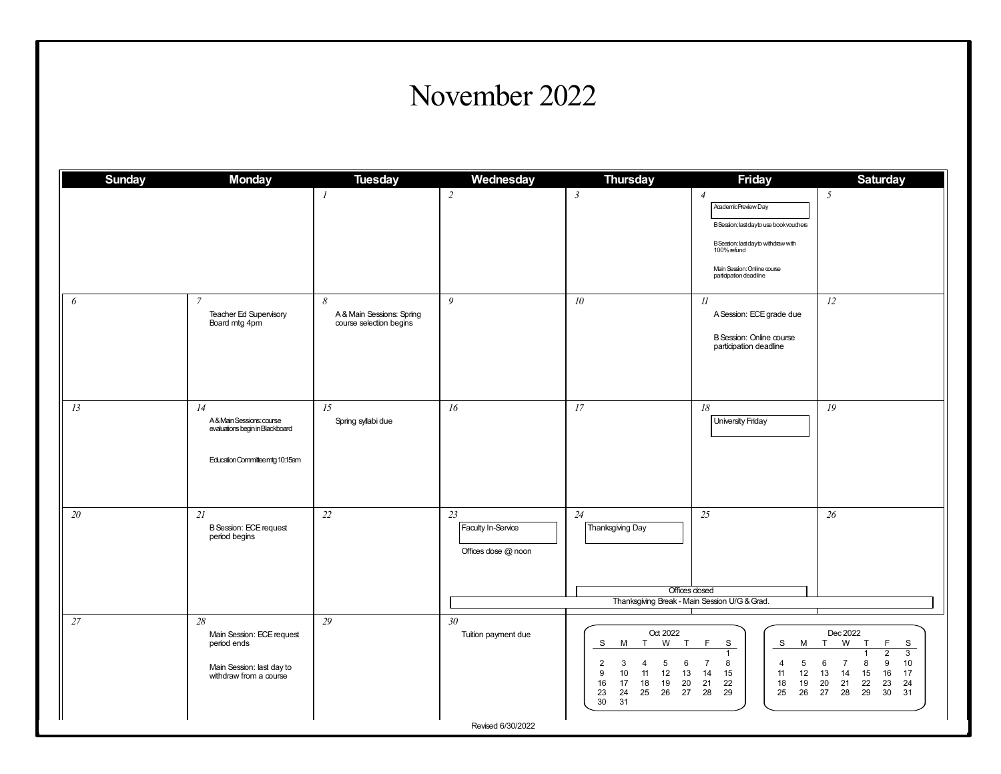#### November 2022

| <b>Sunday</b> | <b>Monday</b>                                                                                         | <b>Tuesday</b>                                            | Wednesday                                       | <b>Thursday</b>                                                                                                                                                              | <b>Friday</b>                                                                                                                                                                                       | <b>Saturday</b>                                                                                                                                                                                                |
|---------------|-------------------------------------------------------------------------------------------------------|-----------------------------------------------------------|-------------------------------------------------|------------------------------------------------------------------------------------------------------------------------------------------------------------------------------|-----------------------------------------------------------------------------------------------------------------------------------------------------------------------------------------------------|----------------------------------------------------------------------------------------------------------------------------------------------------------------------------------------------------------------|
|               |                                                                                                       | $\boldsymbol{l}$                                          | $\overline{c}$                                  | $\mathfrak{Z}$                                                                                                                                                               | $\overline{4}$<br>Academic Preview Day<br>B Session: last day to use book vouchers<br>B Session: last day to with draw with<br>100% refund<br>Main Session: Online course<br>participation deadline | 5                                                                                                                                                                                                              |
| 6             | $\overline{7}$<br>Teacher Ed Supervisory<br>Board mtg 4pm                                             | 8<br>A & Main Sessions: Spring<br>course selection begins | 9                                               | ${\it 10}$                                                                                                                                                                   | II<br>A Session: ECE grade due<br>B Session: Online course<br>participation deadline                                                                                                                | 12                                                                                                                                                                                                             |
| 13            | 14<br>A&MainSessions:course<br>evaluations begin in Blackboard<br>Education Committee mtg 10:15am     | 15<br>Spring syllabi due                                  | 16                                              | 17                                                                                                                                                                           | 18<br><b>University Friday</b>                                                                                                                                                                      | 19                                                                                                                                                                                                             |
| $20\,$        | 21<br><b>B</b> Session: ECE request<br>period begins                                                  | $22\,$                                                    | 23<br>Faculty In-Service<br>Offices dose @ noon | $24$<br>Thanksgiving Day                                                                                                                                                     | 25<br>Offices dosed<br>Thanksgiving Break - Main Session U/G & Grad.                                                                                                                                | 26                                                                                                                                                                                                             |
| 27            | 28<br>Main Session: ECE request<br>period ends<br>Main Session: last day to<br>withdraw from a course | 29                                                        | 30 <sup>°</sup><br>Tuition payment due          | Oct 2022<br>W<br>S<br>M<br>T<br>T<br>$\overline{2}$<br>5<br>3<br>6<br>4<br>10<br>12<br>13<br>9<br>11<br>16<br>17<br>18<br>19<br>20<br>23<br>24<br>25<br>26<br>27<br>30<br>31 | F<br>S<br>S<br>М<br>$\mathbf{1}$<br>$\overline{7}$<br>8<br>5<br>$\overline{4}$<br>14<br>15<br>12<br>11<br>19<br>21<br>22<br>18<br>28<br>29<br>25<br>26                                              | Dec 2022<br>W<br>$\top$<br>F<br>S<br>T<br>$\overline{2}$<br>3<br>$\mathbf{1}$<br>8<br>9<br>10<br>6<br>$\overline{7}$<br>13<br>14<br>15<br>16<br>17<br>21<br>22<br>23<br>20<br>24<br>28<br>29<br>27<br>30<br>31 |
|               |                                                                                                       |                                                           | Revised 6/30/2022                               |                                                                                                                                                                              |                                                                                                                                                                                                     |                                                                                                                                                                                                                |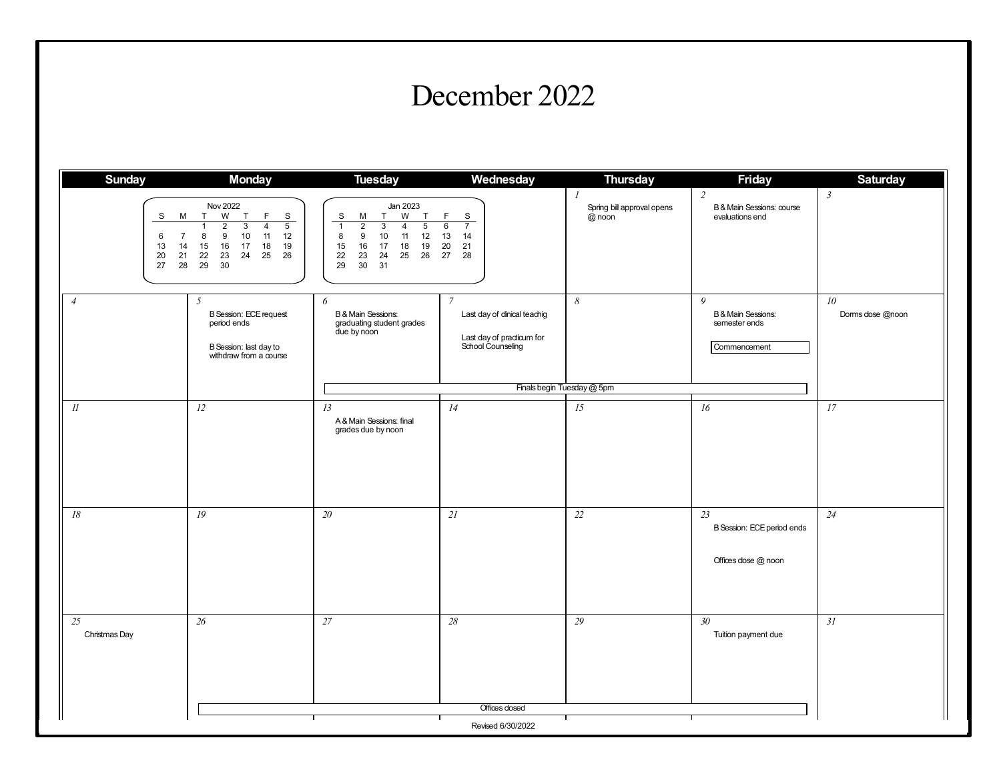#### December 2022

| <b>Sunday</b>            | <b>Monday</b>                                                                                                                                                                                                                                                                                                         | <b>Tuesday</b>                                                                                                                                                                                                                                      | Wednesday                                                                                       | <b>Thursday</b>                                       | <b>Friday</b>                                                       | <b>Saturday</b>            |
|--------------------------|-----------------------------------------------------------------------------------------------------------------------------------------------------------------------------------------------------------------------------------------------------------------------------------------------------------------------|-----------------------------------------------------------------------------------------------------------------------------------------------------------------------------------------------------------------------------------------------------|-------------------------------------------------------------------------------------------------|-------------------------------------------------------|---------------------------------------------------------------------|----------------------------|
| S<br>6<br>13<br>20<br>27 | <b>Nov 2022</b><br>W<br>$\mathsf F$<br>T<br>T<br>S<br>M<br>$\overline{\mathbf{3}}$<br>$\overline{5}$<br>$\overline{2}$<br>$\overline{4}$<br>$\mathbf{1}$<br>8<br>$\boldsymbol{9}$<br>$10$<br>11<br>$\overline{7}$<br>12<br>$15\,$<br>16<br>17<br>18<br>14<br>19<br>21<br>22<br>25<br>26<br>23<br>24<br>29<br>28<br>30 | Jan 2023<br>W<br>T<br>S<br>М<br>T.<br>$\overline{5}$<br>$\overline{2}$<br>$\overline{3}$<br>$\overline{1}$<br>$\overline{4}$<br>12<br>8<br>9<br>10<br>11<br>17<br>19<br>15<br>16<br>18<br>25<br>26<br>22<br>23<br>24<br>29<br>30 <sup>°</sup><br>31 | $\mathsf F$<br>S<br>6<br>$\overline{7}$<br>13<br>14<br>20<br>21<br>27<br>28                     | $\mathcal{I}$<br>Spring bill approval opens<br>@ noon | $\overline{2}$<br>B & Main Sessions: course<br>evaluations end      | $\mathfrak{Z}$             |
| $\overline{4}$           | $\mathfrak{I}$<br><b>B</b> Session: ECE request<br>period ends<br>B Session: last day to<br>withdraw from a course                                                                                                                                                                                                    | 6<br>B & Main Sessions:<br>graduating student grades<br>due by noon                                                                                                                                                                                 | $\overline{7}$<br>Last day of dinical teachig<br>Last day of practicum for<br>School Counseling | 8<br>Finals begin Tuesday @ 5pm                       | 9<br><b>B &amp; Main Sessions:</b><br>semester ends<br>Commencement | $10\,$<br>Dorms dose @noon |
| $I\!I$                   | 12                                                                                                                                                                                                                                                                                                                    | 13                                                                                                                                                                                                                                                  | 14                                                                                              | 15                                                    | 16                                                                  | 17                         |
|                          |                                                                                                                                                                                                                                                                                                                       | A & Main Sessions: final<br>grades due by noon                                                                                                                                                                                                      |                                                                                                 |                                                       |                                                                     |                            |
| $18\,$                   | 19                                                                                                                                                                                                                                                                                                                    | $20\,$                                                                                                                                                                                                                                              | 21                                                                                              | 22                                                    | 23<br>B Session: ECE period ends<br>Offices dose @ noon             | 24                         |
| 25<br>Christmas Day      | 26                                                                                                                                                                                                                                                                                                                    | 27                                                                                                                                                                                                                                                  | 28                                                                                              | 29                                                    | 30 <sup>°</sup><br>Tuition payment due                              | 31                         |
| $\parallel$              |                                                                                                                                                                                                                                                                                                                       |                                                                                                                                                                                                                                                     | Offices dosed                                                                                   |                                                       |                                                                     |                            |
|                          |                                                                                                                                                                                                                                                                                                                       |                                                                                                                                                                                                                                                     | Revised 6/30/2022                                                                               |                                                       |                                                                     |                            |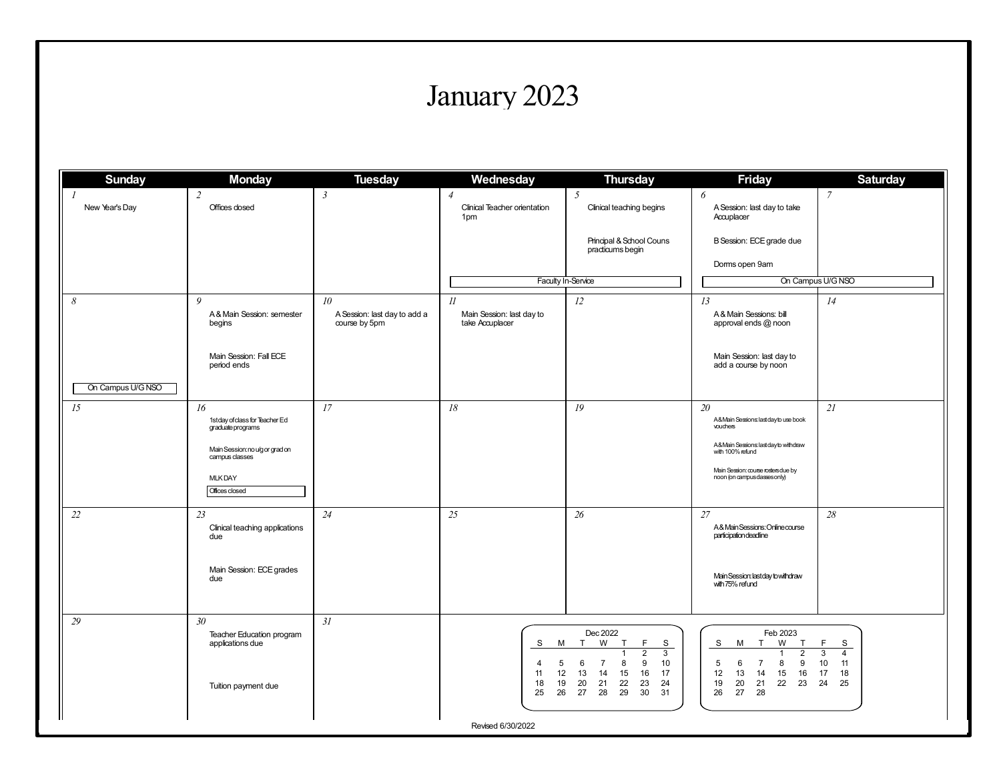## January 2023

| <b>Sunday</b>                   | <b>Monday</b>                                                        | <b>Tuesday</b>                                                   | Wednesday                                               | <b>Thursday</b>                                                                                                                                                             | <b>Friday</b>                                                                                                                                                      | <b>Saturday</b>                                                   |
|---------------------------------|----------------------------------------------------------------------|------------------------------------------------------------------|---------------------------------------------------------|-----------------------------------------------------------------------------------------------------------------------------------------------------------------------------|--------------------------------------------------------------------------------------------------------------------------------------------------------------------|-------------------------------------------------------------------|
| $\mathcal{I}$<br>New Year's Day | $\overline{c}$<br>Offices dosed                                      | $\mathfrak{Z}$                                                   | $\overline{4}$<br>Clinical Teacher orientation<br>1pm   | 5<br>Clinical teaching begins                                                                                                                                               | 6<br>A Session: last day to take<br>Accuplacer                                                                                                                     | $\overline{7}$                                                    |
|                                 |                                                                      |                                                                  |                                                         | Principal & School Couns<br>practicums begin                                                                                                                                | B Session: ECE grade due                                                                                                                                           |                                                                   |
|                                 |                                                                      |                                                                  |                                                         |                                                                                                                                                                             | Dorms open 9am                                                                                                                                                     |                                                                   |
|                                 |                                                                      |                                                                  |                                                         | Faculty In-Service                                                                                                                                                          | On Campus U/G NSO                                                                                                                                                  |                                                                   |
| $\boldsymbol{\delta}$           | 9<br>A& Main Session: semester<br>begins                             | 10 <sup>°</sup><br>A Session: last day to add a<br>course by 5pm | $_{II}$<br>Main Session: last day to<br>take Accuplacer | 12                                                                                                                                                                          | 13<br>A & Main Sessions: bill<br>approval ends @ noon                                                                                                              | 14                                                                |
| On Campus U/G NSO               | Main Session: Fall ECE<br>period ends                                |                                                                  |                                                         |                                                                                                                                                                             | Main Session: last day to<br>add a course by noon                                                                                                                  |                                                                   |
|                                 |                                                                      |                                                                  |                                                         |                                                                                                                                                                             |                                                                                                                                                                    |                                                                   |
| 15                              | 16<br>1stday of class for Teacher Ed<br>graduate programs            | 17                                                               | 18                                                      | 19                                                                                                                                                                          | 20<br>A&Main Sessions: last day to use book<br>vouchers                                                                                                            | 21                                                                |
|                                 | Main Session: no u/g or grad on<br>campus classes                    |                                                                  |                                                         |                                                                                                                                                                             | A&Main Sessions: last day to withdraw<br>with 100% refund                                                                                                          |                                                                   |
|                                 | <b>MLKDAY</b><br>Offices closed                                      |                                                                  |                                                         |                                                                                                                                                                             | Main Session: course rosters due by<br>noon (on campus dasses only)                                                                                                |                                                                   |
| $22\,$                          | 23<br>Clinical teaching applications<br>due                          | 24                                                               | 25                                                      | $26\,$                                                                                                                                                                      | 27<br>A&MainSessions:Onlinecourse<br>participation deadline                                                                                                        | $28\,$                                                            |
|                                 | Main Session: ECE grades<br>due                                      |                                                                  |                                                         |                                                                                                                                                                             | Main Session: last day to withdraw<br>with 75% refund                                                                                                              |                                                                   |
| 29                              | 30 <sup>°</sup>                                                      | 31                                                               |                                                         |                                                                                                                                                                             |                                                                                                                                                                    |                                                                   |
|                                 | Teacher Education program<br>applications due<br>Tuition payment due |                                                                  | S<br>м<br>5<br>4<br>11<br>12<br>19<br>18                | Dec 2022<br>T<br>W<br>T<br>F<br>S<br>$\overline{2}$<br>$\mathbf{3}$<br>1<br>$\overline{7}$<br>9<br>10<br>6<br>8<br>13<br>15<br>16<br>17<br>14<br>20<br>22<br>23<br>24<br>21 | Feb 2023<br>T<br>W<br>T<br>S<br>М<br>$\overline{2}$<br>$\mathbf{1}$<br>$\overline{7}$<br>8<br>9<br>5<br>6<br>16<br>12<br>13<br>14<br>15<br>19<br>20<br>21<br>22 23 | F<br>S<br>3<br>$\overline{4}$<br>10<br>11<br>17<br>18<br>24<br>25 |
|                                 |                                                                      |                                                                  | 25<br>26<br>Revised 6/30/2022                           | 27<br>28<br>29<br>30<br>31                                                                                                                                                  | 26<br>27<br>28                                                                                                                                                     |                                                                   |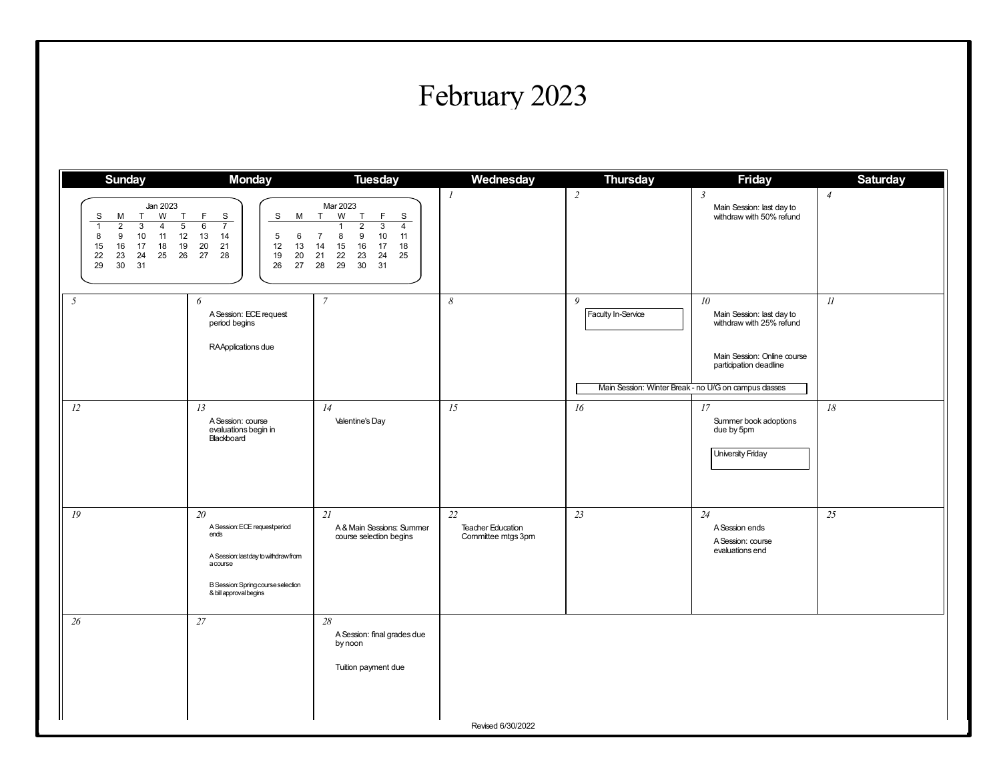### February 2023

| <b>Jan 2023</b><br>W<br>S<br>М<br>T<br>T<br>F                                                                                                                                              | S<br>S<br>M                                                                                                                                             | Mar 2023                                                                                                                                                                                   |                                                      | $\sqrt{2}$                                           | $\mathfrak{Z}$                                                                                                                     | $\overline{4}$ |
|--------------------------------------------------------------------------------------------------------------------------------------------------------------------------------------------|---------------------------------------------------------------------------------------------------------------------------------------------------------|--------------------------------------------------------------------------------------------------------------------------------------------------------------------------------------------|------------------------------------------------------|------------------------------------------------------|------------------------------------------------------------------------------------------------------------------------------------|----------------|
| $\overline{1}$<br>$\overline{2}$<br>3<br>$\,$ 5 $\,$<br>6<br>4<br>10<br>12<br>9<br>11<br>13<br>8<br>15<br>16<br>17<br>18<br>19<br>20<br>22<br>23<br>24<br>25<br>26<br>27<br>29<br>30<br>31 | $\overline{7}$<br>14<br>5<br>6<br>21<br>12<br>13<br>28<br>19<br>20<br>26<br>27                                                                          | T<br>W<br>T<br>F<br>S<br>$\overline{2}$<br>3<br>$\overline{4}$<br>9<br>$\overline{7}$<br>8<br>10<br>11<br>18<br>14<br>15<br>16<br>17<br>25<br>21<br>22<br>23<br>24<br>28<br>29<br>30<br>31 |                                                      |                                                      | Main Session: last day to<br>withdraw with 50% refund                                                                              |                |
| 5<br>6                                                                                                                                                                                     | A Session: ECE request<br>period begins<br>RAApplications due                                                                                           | $\overline{7}$                                                                                                                                                                             | 8                                                    | 9<br>Faculty In-Service                              | 10 <sup>10</sup><br>Main Session: last day to<br>withdraw with 25% refund<br>Main Session: Online course<br>participation deadline | $\mathcal{U}$  |
|                                                                                                                                                                                            |                                                                                                                                                         |                                                                                                                                                                                            |                                                      | Main Session: Winter Break - no U/G on campus dasses |                                                                                                                                    |                |
| 12<br>13                                                                                                                                                                                   | A Session: course<br>evaluations begin in<br>Blackboard                                                                                                 | 14<br><b>Valentine's Day</b>                                                                                                                                                               | 15                                                   | 16                                                   | 17<br>Summer book adoptions<br>due by 5pm<br>University Friday                                                                     | $18\,$         |
| 19<br>20                                                                                                                                                                                   | A Session: ECE requestperiod<br>ends<br>A Session: last day to withdraw from<br>acourse<br>B Session: Spring course selection<br>& bill approval begins | 2l<br>A & Main Sessions: Summer<br>course selection begins                                                                                                                                 | 22<br><b>Teacher Education</b><br>Committee mtgs 3pm | 23                                                   | 24<br>A Session ends<br>A Session: course<br>evaluations end                                                                       | 25             |
| 27<br>26                                                                                                                                                                                   |                                                                                                                                                         | 28<br>A Session: final grades due<br>by noon<br>Tuition payment due                                                                                                                        | Revised 6/30/2022                                    |                                                      |                                                                                                                                    |                |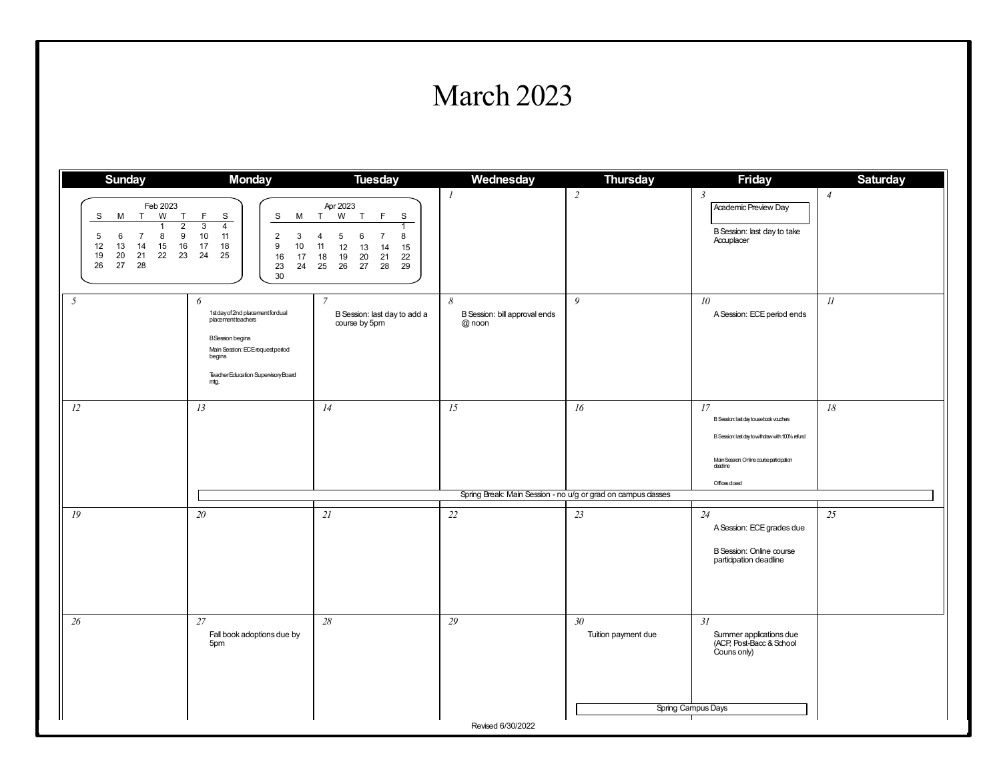#### March 2023

| <b>Sunday</b>                                                                                                                                                                             | <b>Monday</b>                                                                                                                                                                     | <b>Tuesday</b>                                                                                                                                                    | Wednesday                                      | <b>Thursday</b>                                              | <b>Friday</b>                                                                                                                                                              | <b>Saturday</b> |
|-------------------------------------------------------------------------------------------------------------------------------------------------------------------------------------------|-----------------------------------------------------------------------------------------------------------------------------------------------------------------------------------|-------------------------------------------------------------------------------------------------------------------------------------------------------------------|------------------------------------------------|--------------------------------------------------------------|----------------------------------------------------------------------------------------------------------------------------------------------------------------------------|-----------------|
| Feb 2023<br>T<br>W<br>T<br>S<br>M<br>$\overline{2}$<br>$\overline{1}$<br>5<br>8<br>9<br>$\overline{7}$<br>6<br>15<br>16<br>12<br>13<br>14<br>22<br>23<br>19<br>20<br>21<br>26<br>27<br>28 | F<br>S<br>S<br>М<br>$\overline{3}$<br>$\overline{4}$<br>10<br>11<br>2<br>3<br>17<br>18<br>$\boldsymbol{9}$<br>10<br>25<br>24<br>16<br>17<br>23<br>24<br>30                        | Apr 2023<br>T<br>W<br>T<br>F<br>S<br>5<br>8<br>6<br>$\overline{7}$<br>4<br>11<br>15<br>12<br>13<br>14<br>18<br>19<br>22<br>20<br>21<br>26<br>28<br>29<br>25<br>27 | $\mathcal{I}$                                  | $\overline{c}$                                               | $\mathfrak{Z}$<br>Academic Preview Day<br>B Session: last day to take<br>Accuplacer                                                                                        | $\overline{4}$  |
| 5                                                                                                                                                                                         | 6<br>1st day of 2nd placement for dual<br>placementteachers<br><b>B</b> Session begins<br>Main Session: ECE request period<br>begins<br>TeacherEducation SupervisoryBoard<br>mtg. | $\overline{7}$<br>B Session: last day to add a<br>course by 5pm                                                                                                   | 8<br>B Session: bill approval ends<br>$@$ noon | 9                                                            | 10 <sup>°</sup><br>A Session: ECE period ends                                                                                                                              | $_{II}$         |
| 12                                                                                                                                                                                        | 13                                                                                                                                                                                | 14                                                                                                                                                                | 15                                             | 16                                                           | 17<br>B Session last day to use book vouchers<br>B Session: last day to withdraw with 100% refund<br>Main Session: Online course participation<br>deadine<br>Offices dosed | $18\,$          |
|                                                                                                                                                                                           |                                                                                                                                                                                   |                                                                                                                                                                   |                                                | Spring Break: Main Session - no u/g or grad on campus dasses |                                                                                                                                                                            |                 |
| 19                                                                                                                                                                                        | 20                                                                                                                                                                                | 2l                                                                                                                                                                | 22                                             | 23                                                           | 24<br>A Session: ECE grades due<br>B Session: Online course<br>participation deadline                                                                                      | 25              |
| 26                                                                                                                                                                                        | 27<br>Fall book adoptions due by<br>5pm                                                                                                                                           | $28\,$                                                                                                                                                            | 29<br>Revised 6/30/2022                        | 30<br>Tuition payment due                                    | 31<br>Summer applications due<br>(ACP, Post-Bacc & School<br>Couns only)<br>Spring Campus Days                                                                             |                 |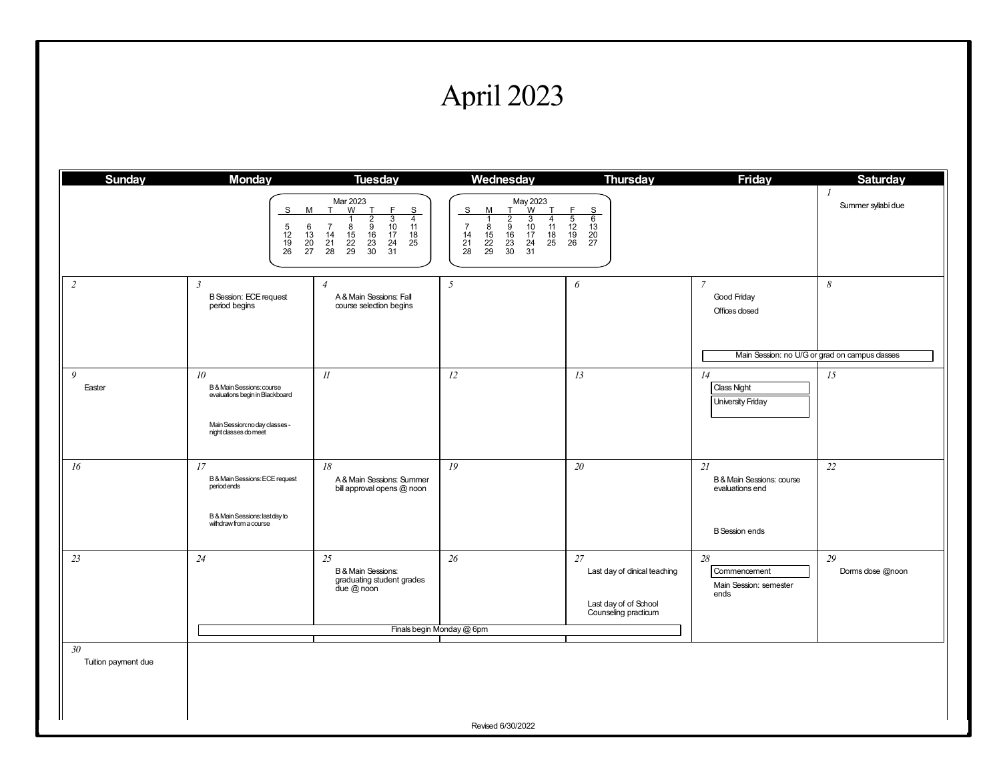## April 2023

| <b>Sunday</b>                               | <b>Monday</b>                                                                                                                              | <b>Tuesday</b>                                                                                                                                                                                                                                                                                          | Wednesday                                                                                                                                                                                                                                                                         | <b>Thursday</b>                                                                       | <b>Friday</b>                                                                                   | <b>Saturday</b>                      |
|---------------------------------------------|--------------------------------------------------------------------------------------------------------------------------------------------|---------------------------------------------------------------------------------------------------------------------------------------------------------------------------------------------------------------------------------------------------------------------------------------------------------|-----------------------------------------------------------------------------------------------------------------------------------------------------------------------------------------------------------------------------------------------------------------------------------|---------------------------------------------------------------------------------------|-------------------------------------------------------------------------------------------------|--------------------------------------|
|                                             | S<br>M<br>$\frac{5}{12}$<br>6<br>13<br>$\frac{19}{26}$<br>$\frac{20}{27}$                                                                  | Mar 2023<br>W<br>T<br>T<br>F<br>$\overline{\mathbf{s}}$<br>$\overline{3}$<br>$\begin{array}{c}\n2 \\ 9 \\ 16\n\end{array}$<br>$\overline{4}$<br>$\frac{10}{17}$<br>$\overline{7}$<br>$\frac{8}{15}$<br>11<br>18<br>14<br>$\frac{21}{28}$<br>$\frac{22}{29}$<br>$\frac{23}{30}$<br>$\frac{24}{31}$<br>25 | May 2023<br>r W<br>$\overline{\mathbf{s}}$<br>T<br>T<br>м<br>$\begin{array}{c}\n2 \\ 9 \\ 16\n\end{array}$<br>3<br>$\overline{4}$<br>-1<br>8<br>$\frac{10}{17}$<br>11<br>$\overline{7}$<br>18<br>14<br>15<br>$\frac{23}{30}$<br>25<br>$^{21}_{28}$<br>$\frac{22}{29}$<br>24<br>31 | F<br>$\frac{8}{6}$<br>$\frac{13}{20}$<br>27<br>$\frac{1}{5}$<br>$\frac{12}{19}$<br>26 |                                                                                                 | $\overline{I}$<br>Summer syllabi due |
| $\overline{c}$                              | $\mathfrak{Z}$<br><b>B</b> Session: ECE request<br>period begins                                                                           | $\overline{4}$<br>A & Main Sessions: Fall<br>course selection begins                                                                                                                                                                                                                                    | 5                                                                                                                                                                                                                                                                                 | 6                                                                                     | $\overline{7}$<br>Good Friday<br>Offices dosed<br>Main Session: no U/G or grad on campus dasses | 8                                    |
| 9<br>Easter                                 | 10 <sup>10</sup><br>B & Main Sessions: course<br>evaluations begin in Blackboard<br>Main Session: no day classes -<br>nightclasses do meet | $\mathcal{U}$                                                                                                                                                                                                                                                                                           | 12                                                                                                                                                                                                                                                                                | 13                                                                                    | 14<br><b>Class Night</b><br><b>University Friday</b>                                            | 15                                   |
| 16                                          | 17<br>B & Main Sessions: ECE request<br>period ends<br>B & Main Sessions: lastday to<br>withdraw from a course                             | 18<br>A & Main Sessions: Summer<br>bill approval opens @ noon                                                                                                                                                                                                                                           | 19                                                                                                                                                                                                                                                                                | 20                                                                                    | 21<br>B & Main Sessions: course<br>evaluations end<br><b>B</b> Session ends                     | 22                                   |
| 23                                          | 24                                                                                                                                         | 25<br>B & Main Sessions:<br>graduating student grades<br>due $@$ noon                                                                                                                                                                                                                                   | 26                                                                                                                                                                                                                                                                                | 27<br>Last day of dinical teaching<br>Last day of of School<br>Counseling practicum   | 28<br>Commencement<br>Main Session: semester<br>ends                                            | 29<br>Dorms dose @noon               |
|                                             |                                                                                                                                            |                                                                                                                                                                                                                                                                                                         | Finals begin Monday @ 6pm                                                                                                                                                                                                                                                         |                                                                                       |                                                                                                 |                                      |
| 30 <sub>2</sub><br>Tuition payment due<br>Ш |                                                                                                                                            |                                                                                                                                                                                                                                                                                                         |                                                                                                                                                                                                                                                                                   |                                                                                       |                                                                                                 |                                      |
|                                             |                                                                                                                                            |                                                                                                                                                                                                                                                                                                         | Revised 6/30/2022                                                                                                                                                                                                                                                                 |                                                                                       |                                                                                                 |                                      |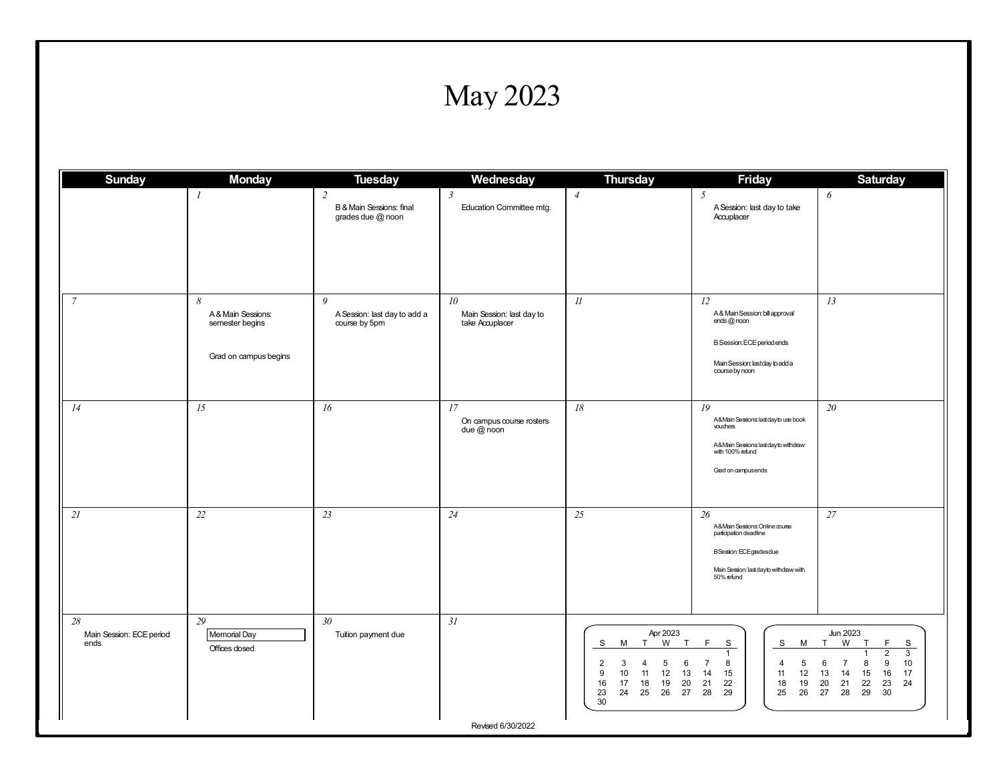## May 2023

| <b>Sunday</b>                               | <b>Monday</b>                                                       | <b>Tuesday</b>                                                  | Wednesday                                                       | <b>Thursday</b>                                                                                                                                           | <b>Friday</b>                                                                                                                                               | <b>Saturday</b>                                                                                                                                                                            |
|---------------------------------------------|---------------------------------------------------------------------|-----------------------------------------------------------------|-----------------------------------------------------------------|-----------------------------------------------------------------------------------------------------------------------------------------------------------|-------------------------------------------------------------------------------------------------------------------------------------------------------------|--------------------------------------------------------------------------------------------------------------------------------------------------------------------------------------------|
|                                             | $\boldsymbol{l}$                                                    | $\overline{2}$<br>B & Main Sessions: final<br>grades due @ noon | $\mathfrak{Z}$<br>Education Committee mtg.                      | $\overline{4}$                                                                                                                                            | $5\overline{)}$<br>A Session: last day to take<br>Accuplacer                                                                                                | 6                                                                                                                                                                                          |
| $\overline{7}$                              | 8<br>A & Main Sessions:<br>semester begins<br>Grad on campus begins | 9<br>A Session: last day to add a<br>course by 5pm              | 10 <sup>2</sup><br>Main Session: last day to<br>take Accuplacer | $\mathcal{U}$                                                                                                                                             | 12<br>A & Main Session: bill approval<br>ends @ noon<br><b>B Session: ECE period ends</b><br>Main Session: lastday to add a<br>course by noon               | 13                                                                                                                                                                                         |
| 14                                          | 15                                                                  | 16                                                              | 17<br>On campus course rosters<br>due $@$ noon                  | $18\,$                                                                                                                                                    | 19<br>A&Main Sessions: last day to use book<br>vouchers<br>A&Main Sessions: last day to withdraw<br>with 100% refund<br>Grad on campusends                  | 20                                                                                                                                                                                         |
| 21                                          | 22                                                                  | 23                                                              | 24                                                              | 25                                                                                                                                                        | 26<br>A&Main Sessions: Online course<br>participation deadline<br><b>B</b> Session: ECE grades due<br>Main Session: last day to withdraw with<br>50% refund | 27                                                                                                                                                                                         |
| 28<br>Main Session: ECE period<br>ends<br>Ш | 29<br>Memorial Day<br>Offices closed                                | 30 <sup>°</sup><br>Tuition payment due                          | 31<br>Revised 6/30/2022                                         | Apr 2023<br>W<br>T<br>S<br>м<br>T<br>5<br>3<br>6<br>2<br>4<br>10<br>12<br>13<br>9<br>11<br>17<br>19<br>16<br>18<br>20<br>24<br>25<br>26<br>27<br>23<br>30 | F<br>S<br>S<br>M<br>$\mathbf{1}$<br>8<br>5<br>$\overline{7}$<br>4<br>14<br>15<br>12<br>11<br>22<br>19<br>21<br>18<br>28<br>29<br>26<br>25                   | <b>Jun 2023</b><br>W<br>F<br>T<br>T<br>S<br>$\overline{2}$<br>3<br>9<br>10<br>8<br>6<br>$\overline{7}$<br>13<br>14<br>15<br>16<br>17<br>21<br>22<br>23<br>24<br>20<br>27<br>28<br>29<br>30 |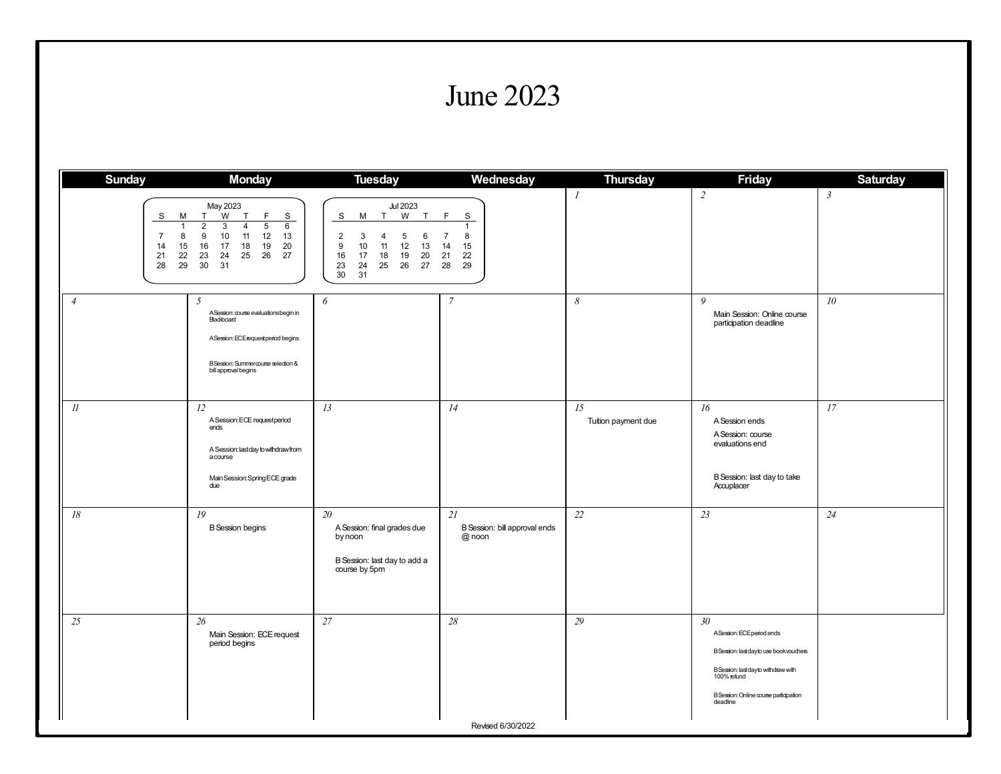#### June 2023

| <b>Sunday</b>                                        | <b>Monday</b>                                                                                                                                                                                                     | <b>Tuesday</b>                                                                                                                                                         | Wednesday                                                         | <b>Thursday</b>           | <b>Friday</b>                                                                                                                                                                                          | <b>Saturday</b> |
|------------------------------------------------------|-------------------------------------------------------------------------------------------------------------------------------------------------------------------------------------------------------------------|------------------------------------------------------------------------------------------------------------------------------------------------------------------------|-------------------------------------------------------------------|---------------------------|--------------------------------------------------------------------------------------------------------------------------------------------------------------------------------------------------------|-----------------|
| S<br>М<br>8<br>7<br>14<br>15<br>22<br>21<br>28<br>29 | May 2023<br>W<br>F<br>T<br>$\mathsf{T}$<br>S<br>$\overline{5}$<br>$\overline{2}$<br>3<br>6<br>$\overline{4}$<br>10<br>12<br>9<br>11<br>13<br>16<br>17<br>18<br>19<br>20<br>23<br>24<br>25<br>26<br>27<br>30<br>31 | <b>Jul 2023</b><br>W<br>S<br>M<br>T<br>T<br>2<br>3<br>5<br>6<br>4<br>11<br>12<br>13<br>9<br>10<br>18<br>19<br>20<br>16<br>17<br>23<br>25<br>26<br>27<br>24<br>30<br>31 | F<br>S<br>$\overline{7}$<br>8<br>15<br>14<br>21<br>22<br>28<br>29 | $\mathcal{I}$             | $\overline{c}$                                                                                                                                                                                         | $\mathfrak{Z}$  |
| $\overline{4}$                                       | $\overline{5}$<br>A Session: course evaluations begin in<br>Blackboard<br>A Session: ECE request period begins<br>B Session: Summercourse selection &<br>bill approval begins                                     | 6                                                                                                                                                                      | $\overline{7}$                                                    | 8                         | 9<br>Main Session: Online course<br>participation deadline                                                                                                                                             | 10 <sup>°</sup> |
| $\mathcal{U}$                                        | 12<br>A Session: ECE requestperiod<br>ends<br>A Session: last day to withdraw from<br>acourse<br>Main Session: Spring ECE grade<br>due                                                                            | 13                                                                                                                                                                     | 14                                                                | 15<br>Tuition payment due | 16<br>A Session ends<br>A Session: course<br>evaluations end<br>B Session: last day to take<br>Accuplacer                                                                                              | 17              |
| $18\,$                                               | 19<br><b>B</b> Session begins                                                                                                                                                                                     | 20<br>A Session: final grades due<br>by noon<br>B Session: last day to add a<br>course by 5pm                                                                          | 21<br>B Session: bill approval ends<br>@ noon                     | 22                        | 23                                                                                                                                                                                                     | 24              |
| 25                                                   | 26<br>Main Session: ECE request<br>period begins                                                                                                                                                                  | $27\,$                                                                                                                                                                 | $28\,$                                                            | 29                        | 30 <sub>2</sub><br>ASession: ECE period ends<br>B Session: last day to use book vouchers<br>B Session: last day to with draw with<br>100% refund<br>B Session: Online course participation<br>deadline |                 |
|                                                      |                                                                                                                                                                                                                   |                                                                                                                                                                        | Revised 6/30/2022                                                 |                           |                                                                                                                                                                                                        |                 |